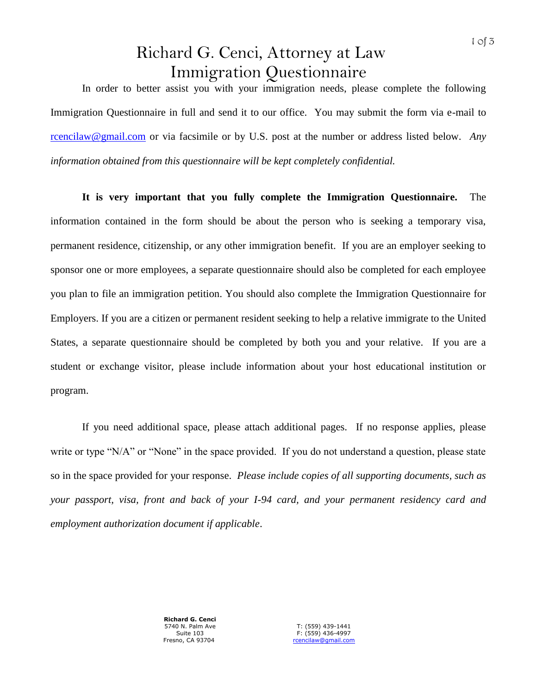## Richard G. Cenci, Attorney at Law Immigration Questionnaire

In order to better assist you with your immigration needs, please complete the following Immigration Questionnaire in full and send it to our office. You may submit the form via e-mail to rcencilaw@gmail.com or via facsimile or by U.S. post at the number or address listed below. *Any information obtained from this questionnaire will be kept completely confidential.*

**It is very important that you fully complete the Immigration Questionnaire.** The information contained in the form should be about the person who is seeking a temporary visa, permanent residence, citizenship, or any other immigration benefit. If you are an employer seeking to sponsor one or more employees, a separate questionnaire should also be completed for each employee you plan to file an immigration petition. You should also complete the Immigration Questionnaire for Employers. If you are a citizen or permanent resident seeking to help a relative immigrate to the United States, a separate questionnaire should be completed by both you and your relative. If you are a student or exchange visitor, please include information about your host educational institution or program.

If you need additional space, please attach additional pages. If no response applies, please write or type "N/A" or "None" in the space provided. If you do not understand a question, please state so in the space provided for your response. *Please include copies of all supporting documents, such as your passport, visa, front and back of your I-94 card, and your permanent residency card and employment authorization document if applicable*.

> **Richard G. Cenci** 5740 N. Palm Ave Suite 103 Fresno, CA 93704

T: (559) 439-1441 F: (559) 436-4997 rcencilaw@gmail.com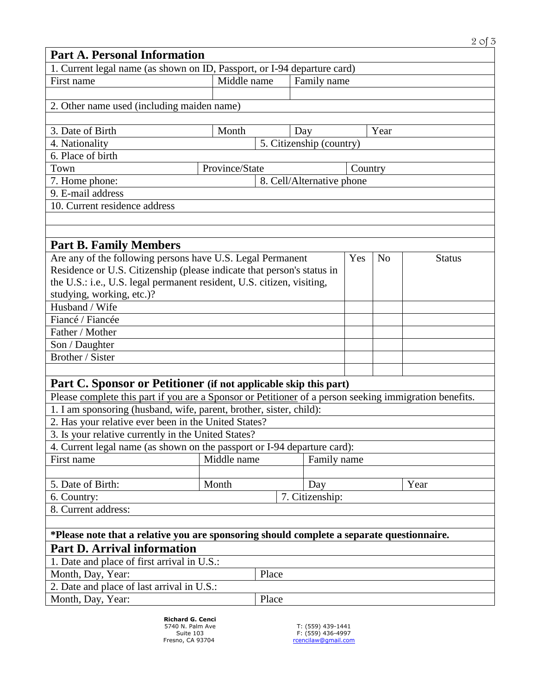|                                                                                                        |                           |             |                          |     |                | $2$ of $3$    |
|--------------------------------------------------------------------------------------------------------|---------------------------|-------------|--------------------------|-----|----------------|---------------|
| <b>Part A. Personal Information</b>                                                                    |                           |             |                          |     |                |               |
| 1. Current legal name (as shown on ID, Passport, or I-94 departure card)                               |                           |             |                          |     |                |               |
| First name                                                                                             | Middle name               |             | Family name              |     |                |               |
|                                                                                                        |                           |             |                          |     |                |               |
| 2. Other name used (including maiden name)                                                             |                           |             |                          |     |                |               |
|                                                                                                        |                           |             |                          |     |                |               |
| 3. Date of Birth                                                                                       | Month                     |             | Day                      |     | Year           |               |
| 4. Nationality                                                                                         |                           |             | 5. Citizenship (country) |     |                |               |
| 6. Place of birth                                                                                      |                           |             |                          |     |                |               |
| Town                                                                                                   | Province/State<br>Country |             |                          |     |                |               |
| 7. Home phone:                                                                                         | 8. Cell/Alternative phone |             |                          |     |                |               |
| 9. E-mail address                                                                                      |                           |             |                          |     |                |               |
| 10. Current residence address                                                                          |                           |             |                          |     |                |               |
|                                                                                                        |                           |             |                          |     |                |               |
|                                                                                                        |                           |             |                          |     |                |               |
| <b>Part B. Family Members</b>                                                                          |                           |             |                          |     |                |               |
| Are any of the following persons have U.S. Legal Permanent                                             |                           |             |                          | Yes | N <sub>o</sub> | <b>Status</b> |
| Residence or U.S. Citizenship (please indicate that person's status in                                 |                           |             |                          |     |                |               |
| the U.S.: i.e., U.S. legal permanent resident, U.S. citizen, visiting,                                 |                           |             |                          |     |                |               |
| studying, working, etc.)?                                                                              |                           |             |                          |     |                |               |
| Husband / Wife                                                                                         |                           |             |                          |     |                |               |
| Fiancé / Fiancée                                                                                       |                           |             |                          |     |                |               |
| Father / Mother                                                                                        |                           |             |                          |     |                |               |
| Son / Daughter                                                                                         |                           |             |                          |     |                |               |
| Brother / Sister                                                                                       |                           |             |                          |     |                |               |
|                                                                                                        |                           |             |                          |     |                |               |
| Part C. Sponsor or Petitioner (if not applicable skip this part)                                       |                           |             |                          |     |                |               |
| Please complete this part if you are a Sponsor or Petitioner of a person seeking immigration benefits. |                           |             |                          |     |                |               |
| 1. I am sponsoring (husband, wife, parent, brother, sister, child):                                    |                           |             |                          |     |                |               |
| 2. Has your relative ever been in the United States?                                                   |                           |             |                          |     |                |               |
| 3. Is your relative currently in the United States?                                                    |                           |             |                          |     |                |               |
| 4. Current legal name (as shown on the passport or I-94 departure card):                               |                           |             |                          |     |                |               |
| First name                                                                                             | Middle name               | Family name |                          |     |                |               |
|                                                                                                        |                           |             |                          |     |                |               |
| 5. Date of Birth:                                                                                      | Month                     |             | Day                      |     |                | Year          |
| 6. Country:                                                                                            |                           |             | 7. Citizenship:          |     |                |               |
| 8. Current address:                                                                                    |                           |             |                          |     |                |               |
|                                                                                                        |                           |             |                          |     |                |               |
| *Please note that a relative you are sponsoring should complete a separate questionnaire.              |                           |             |                          |     |                |               |
| <b>Part D. Arrival information</b>                                                                     |                           |             |                          |     |                |               |
| 1. Date and place of first arrival in U.S.:                                                            |                           |             |                          |     |                |               |
| Month, Day, Year:                                                                                      |                           | Place       |                          |     |                |               |
| 2. Date and place of last arrival in U.S.:                                                             |                           |             |                          |     |                |               |
|                                                                                                        |                           |             |                          |     |                |               |
| Month, Day, Year:                                                                                      |                           | Place       |                          |     |                |               |

**Richard G. Cenci**<br>
5740 N. Palm Ave<br>
Suite 103<br>
Fresno, CA 93704

T: (559) 439-1441 F: (559) 436-4997 rcencilaw@gmail.com